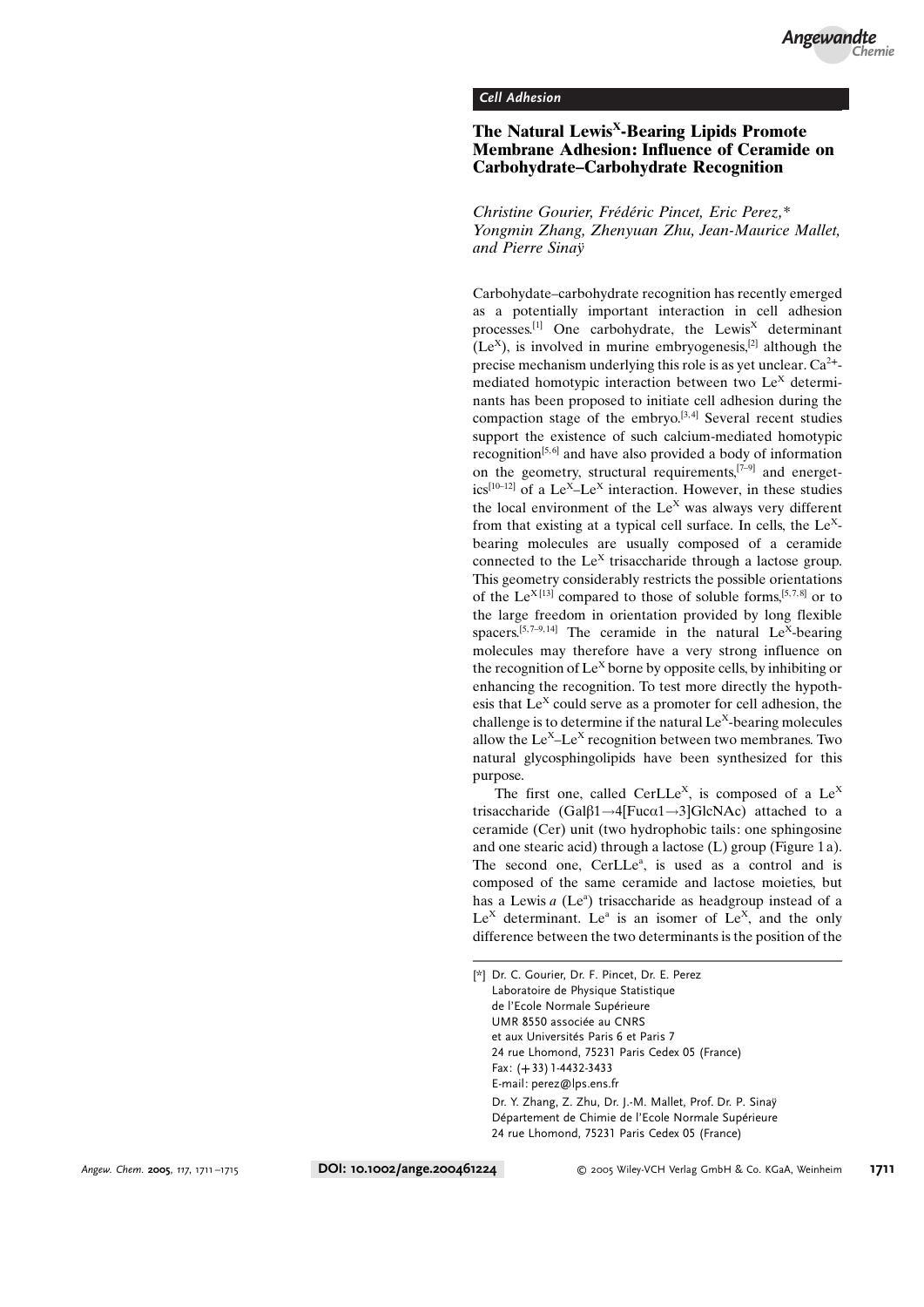## Cell Adhesion

## The Natural Lewis<sup>X</sup>-Bearing Lipids Promote Membrane Adhesion: Influence of Ceramide on Carbohydrate–Carbohydrate Recognition

Christine Gourier, Frédéric Pincet, Eric Perez,\* Yongmin Zhang, Zhenyuan Zhu, Jean-Maurice Mallet, and Pierre Sina $\ddot{v}$ 

Carbohydate–carbohydrate recognition has recently emerged as a potentially important interaction in cell adhesion processes.<sup>[1]</sup> One carbohydrate, the Lewis<sup>X</sup> determinant  $(Le<sup>X</sup>)$ , is involved in murine embryogenesis,<sup>[2]</sup> although the precise mechanism underlying this role is as yet unclear.  $Ca^{2+}$ mediated homotypic interaction between two  $Le<sup>X</sup>$  determinants has been proposed to initiate cell adhesion during the compaction stage of the embryo. $[3, 4]$  Several recent studies support the existence of such calcium-mediated homotypic recognition<sup>[5,6]</sup> and have also provided a body of information on the geometry, structural requirements, $[7-9]$  and energetics<sup>[10–12]</sup> of a Le<sup>x</sup>-Le<sup>x</sup> interaction. However, in these studies the local environment of the  $Le<sup>X</sup>$  was always very different from that existing at a typical cell surface. In cells, the  $Le<sup>X</sup>$ bearing molecules are usually composed of a ceramide connected to the  $Le<sup>X</sup>$  trisaccharide through a lactose group. This geometry considerably restricts the possible orientations of the Le<sup>X[13]</sup> compared to those of soluble forms,<sup>[5,7,8]</sup> or to the large freedom in orientation provided by long flexible spacers.<sup>[5,7–9,14]</sup> The ceramide in the natural  $Le<sup>X</sup>$ -bearing molecules may therefore have a very strong influence on the recognition of  $Le<sup>X</sup>$  borne by opposite cells, by inhibiting or enhancing the recognition. To test more directly the hypothesis that  $Le<sup>X</sup>$  could serve as a promoter for cell adhesion, the challenge is to determine if the natural  $Le<sup>X</sup>$ -bearing molecules allow the  $Le^{X}-Le^{X}$  recognition between two membranes. Two natural glycosphingolipids have been synthesized for this purpose.

The first one, called CerLLe<sup>x</sup>, is composed of a  $Le<sup>X</sup>$ trisaccharide (Gal $\beta$ 1  $\rightarrow$ 4[Fuc $\alpha$ 1  $\rightarrow$ 3]GlcNAc) attached to a ceramide (Cer) unit (two hydrophobic tails: one sphingosine and one stearic acid) through a lactose (L) group (Figure 1 a). The second one, CerLLe<sup>a</sup>, is used as a control and is composed of the same ceramide and lactose moieties, but has a Lewis  $a$  (Le<sup>a</sup>) trisaccharide as headgroup instead of a  $Le<sup>X</sup>$  determinant. Le<sup>a</sup> is an isomer of Le<sup>X</sup>, and the only difference between the two determinants is the position of the

<sup>[\*]</sup> Dr. C. Gourier, Dr. F. Pincet, Dr. E. Perez Laboratoire de Physique Statistique de l'Ecole Normale Supérieure UMR 8550 associe au CNRS et aux Universités Paris 6 et Paris 7 24 rue Lhomond, 75231 Paris Cedex 05 (France) Fax: (+33) 1-4432-3433 E-mail: perez@lps.ens.fr Dr. Y. Zhang, Z. Zhu, Dr. J.-M. Mallet, Prof. Dr. P. Sina- Département de Chimie de l'Ecole Normale Supérieure 24 rue Lhomond, 75231 Paris Cedex 05 (France)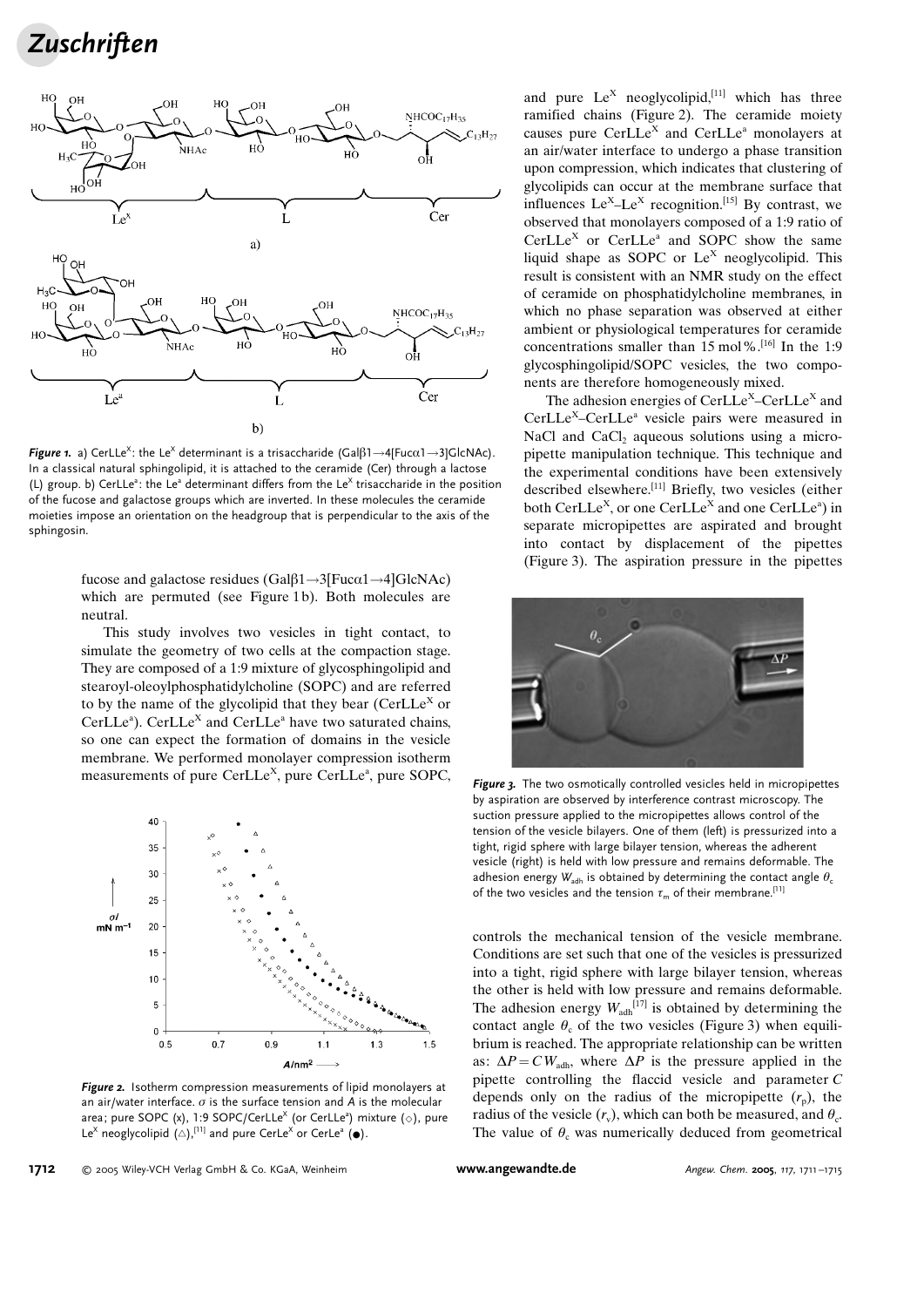**Zuschriften** 



**Figure 1.** a) CerLLe<sup>x</sup>: the Le<sup>x</sup> determinant is a trisaccharide (Gal $\beta$ 1  $\rightarrow$ 4[Fuc $\alpha$ 1  $\rightarrow$ 3]GlcNAc). In a classical natural sphingolipid, it is attached to the ceramide (Cer) through a lactose (L) group. b) CerLLe<sup>a</sup>: the Le<sup>a</sup> determinant differs from the Le<sup>X</sup> trisaccharide in the position of the fucose and galactose groups which are inverted. In these molecules the ceramide moieties impose an orientation on the headgroup that is perpendicular to the axis of the sphingosin.

fucose and galactose residues  $(Ga\beta1 \rightarrow 3[Fuca1 \rightarrow 4]GlcNAc)$ which are permuted (see Figure 1b). Both molecules are neutral.

This study involves two vesicles in tight contact, to simulate the geometry of two cells at the compaction stage. They are composed of a 1:9 mixture of glycosphingolipid and stearoyl-oleoylphosphatidylcholine (SOPC) and are referred to by the name of the glycolipid that they bear (CerLLe<sup>X</sup> or CerLLe<sup>a</sup>). CerLLe<sup>X</sup> and CerLLe<sup>a</sup> have two saturated chains, so one can expect the formation of domains in the vesicle membrane. We performed monolayer compression isotherm measurements of pure CerLLe<sup>x</sup>, pure CerLLe<sup>a</sup>, pure SOPC,



Figure 2. Isotherm compression measurements of lipid monolayers at an air/water interface.  $\sigma$  is the surface tension and A is the molecular area; pure SOPC (x), 1:9 SOPC/CerLLe<sup>x</sup> (or CerLLe<sup>a</sup>) mixture ( $\diamond$ ), pure Le<sup>x</sup> neoglycolipid  $(A)$ , <sup>[11]</sup> and pure CerLe<sup>x</sup> or CerLe<sup>a</sup> ( $\bullet$ ).

and pure  $Le^{X}$  neoglycolipid,<sup>[11]</sup> which has three ramified chains (Figure 2). The ceramide moiety causes pure  $CerLLe<sup>X</sup>$  and  $CerLLe<sup>a</sup>$  monolayers at an air/water interface to undergo a phase transition upon compression, which indicates that clustering of glycolipids can occur at the membrane surface that influences  $Le^{X}-Le^{X}$  recognition.<sup>[15]</sup> By contrast, we observed that monolayers composed of a 1:9 ratio of  $CerLLe<sup>X</sup>$  or  $CerLLe<sup>a</sup>$  and SOPC show the same liquid shape as SOPC or  $Le<sup>X</sup>$  neoglycolipid. This result is consistent with an NMR study on the effect of ceramide on phosphatidylcholine membranes, in which no phase separation was observed at either ambient or physiological temperatures for ceramide concentrations smaller than 15 mol%.[16] In the 1:9 glycosphingolipid/SOPC vesicles, the two components are therefore homogeneously mixed.

The adhesion energies of  $CerLLe<sup>X</sup>$ –CerLLe<sup>X</sup> and CerLLeX–CerLLea vesicle pairs were measured in NaCl and CaCl, aqueous solutions using a micropipette manipulation technique. This technique and the experimental conditions have been extensively described elsewhere.<sup>[11]</sup> Briefly, two vesicles (either both CerLLe<sup>X</sup>, or one CerLLe<sup>X</sup> and one CerLLe<sup>a</sup>) in separate micropipettes are aspirated and brought into contact by displacement of the pipettes (Figure 3). The aspiration pressure in the pipettes



Figure 3. The two osmotically controlled vesicles held in micropipettes by aspiration are observed by interference contrast microscopy. The suction pressure applied to the micropipettes allows control of the tension of the vesicle bilayers. One of them (left) is pressurized into a tight, rigid sphere with large bilayer tension, whereas the adherent vesicle (right) is held with low pressure and remains deformable. The adhesion energy  $W_{\text{adh}}$  is obtained by determining the contact angle  $\theta_c$ of the two vesicles and the tension  $\tau_m$  of their membrane.<sup>[11]</sup>

controls the mechanical tension of the vesicle membrane. Conditions are set such that one of the vesicles is pressurized into a tight, rigid sphere with large bilayer tension, whereas the other is held with low pressure and remains deformable. The adhesion energy  $W_{\text{adh}}^{[17]}$  is obtained by determining the contact angle  $\theta_c$  of the two vesicles (Figure 3) when equilibrium is reached. The appropriate relationship can be written as:  $\Delta P = CW_{\text{adh}}$ , where  $\Delta P$  is the pressure applied in the pipette controlling the flaccid vesicle and parameter C depends only on the radius of the micropipette  $(r_n)$ , the radius of the vesicle  $(r_v)$ , which can both be measured, and  $\theta_c$ . The value of  $\theta_c$  was numerically deduced from geometrical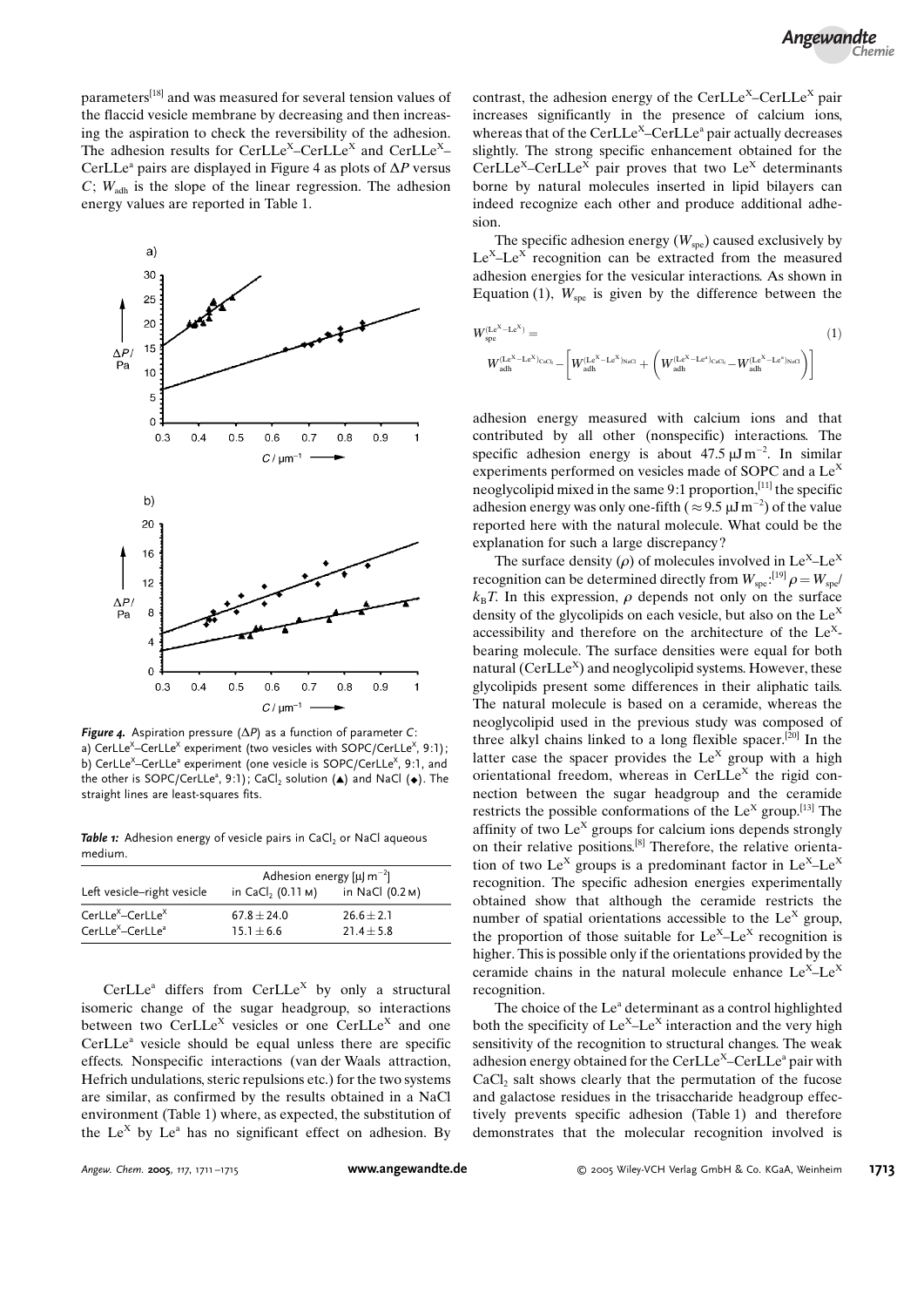parameters[18] and was measured for several tension values of the flaccid vesicle membrane by decreasing and then increasing the aspiration to check the reversibility of the adhesion. The adhesion results for CerLLe<sup>X</sup>–CerLLe<sup>X</sup> and CerLLe<sup>X</sup>– CerLLe<sup>a</sup> pairs are displayed in Figure 4 as plots of  $\Delta P$  versus  $C$ ;  $W_{\text{adh}}$  is the slope of the linear regression. The adhesion energy values are reported in Table 1.



**Figure 4.** Aspiration pressure ( $\Delta P$ ) as a function of parameter C: a) CerLLe<sup>X</sup>–CerLLe<sup>X</sup> experiment (two vesicles with SOPC/CerLLe<sup>X</sup>, 9:1); b) CerLLe<sup>x\_</sup>-CerLLeª experiment (one vesicle is SOPC/CerLLe<sup>x</sup>, 9:1, and the other is SOPC/CerLLe<sup>a</sup>, 9:1); CaCl<sub>2</sub> solution  $(A)$  and NaCl  $(\bullet)$ . The straight lines are least-squares fits.

Table  $\boldsymbol{\tau}$ : Adhesion energy of vesicle pairs in CaCl<sub>2</sub> or NaCl aqueous medium.

|                                                                                      | Adhesion energy [ $\mu$ ] m <sup>-2</sup> ] |                                |  |
|--------------------------------------------------------------------------------------|---------------------------------------------|--------------------------------|--|
| Left vesicle-right vesicle                                                           | in CaCl <sub>2</sub> (0.11 M)               | in NaCl (0.2 м)                |  |
| CerLLe <sup>X</sup> -CerLLe <sup>X</sup><br>CerLLe <sup>X</sup> -CerLLe <sup>a</sup> | $67.8 + 24.0$<br>$15.1 + 6.6$               | $26.6 + 2.1$<br>$21.4 \pm 5.8$ |  |

 $CerLLe<sup>a</sup>$  differs from  $CerLLe<sup>X</sup>$  by only a structural isomeric change of the sugar headgroup, so interactions between two CerLLe<sup>X</sup> vesicles or one CerLLe<sup>X</sup> and one CerLLe<sup>a</sup> vesicle should be equal unless there are specific effects. Nonspecific interactions (van der Waals attraction, Hefrich undulations, steric repulsions etc.) for the two systems are similar, as confirmed by the results obtained in a NaCl environment (Table 1) where, as expected, the substitution of the Le<sup>X</sup> by Le<sup>a</sup> has no significant effect on adhesion. By contrast, the adhesion energy of the CerLLe<sup>X</sup>–CerLLe<sup>X</sup> pair increases significantly in the presence of calcium ions, whereas that of the CerLLe<sup>x</sup>–CerLLe<sup>a</sup> pair actually decreases slightly. The strong specific enhancement obtained for the CerLLe<sup>X</sup>–CerLLe<sup>X</sup> pair proves that two Le<sup>X</sup> determinants borne by natural molecules inserted in lipid bilayers can indeed recognize each other and produce additional adhesion.

The specific adhesion energy  $(W_{\text{spe}})$  caused exclusively by  $Le<sup>X</sup>-Le<sup>X</sup>$  recognition can be extracted from the measured adhesion energies for the vesicular interactions. As shown in Equation (1),  $W_{spe}$  is given by the difference between the

$$
\begin{aligned} W_{\rm spe}^{\rm (Le^X-Le^X)} &= \\ W_{\rm adh}^{\rm (Le^X-Le^X)_{\rm CaC_2}} - \bigg[ W_{\rm adh}^{\rm (Le^X-Le^X)_{\rm NaCl}} + \bigg( W_{\rm adh}^{\rm (Le^X-Le^a)_{\rm CaC_2}} - W_{\rm adh}^{\rm (Le^X-Le^a)_{\rm NaCl}} \bigg) \bigg] \end{aligned} \eqno{(1)}
$$

adhesion energy measured with calcium ions and that contributed by all other (nonspecific) interactions. The specific adhesion energy is about  $47.5 \mu J m^{-2}$ . In similar experiments performed on vesicles made of SOPC and a Le<sup>x</sup> neoglycolipid mixed in the same 9:1 proportion,[11] the specific adhesion energy was only one-fifth ( $\approx$  9.5  $\mu$ J m<sup>-2</sup>) of the value reported here with the natural molecule. What could be the explanation for such a large discrepancy?

The surface density ( $\rho$ ) of molecules involved in Le<sup>X</sup>–Le<sup>X</sup> recognition can be determined directly from  $W_{\text{spe}}$ :<sup>[19]</sup>  $\rho = W_{\text{spe}}$  $k_{\text{B}}T$ . In this expression,  $\rho$  depends not only on the surface density of the glycolipids on each vesicle, but also on the  $Le<sup>X</sup>$ accessibility and therefore on the architecture of the  $Le<sup>X</sup>$ bearing molecule. The surface densities were equal for both natural  $(CerLLe<sup>X</sup>)$  and neoglycolipid systems. However, these glycolipids present some differences in their aliphatic tails. The natural molecule is based on a ceramide, whereas the neoglycolipid used in the previous study was composed of three alkyl chains linked to a long flexible spacer.[20] In the latter case the spacer provides the  $Le<sup>X</sup>$  group with a high orientational freedom, whereas in  $CerLLe<sup>X</sup>$  the rigid connection between the sugar headgroup and the ceramide restricts the possible conformations of the  $Le<sup>X</sup>$  group.<sup>[13]</sup> The affinity of two  $Le<sup>X</sup>$  groups for calcium ions depends strongly on their relative positions.[8] Therefore, the relative orientation of two Le<sup>x</sup> groups is a predominant factor in  $Le^{X}-Le^{X}$ recognition. The specific adhesion energies experimentally obtained show that although the ceramide restricts the number of spatial orientations accessible to the  $Le<sup>X</sup>$  group, the proportion of those suitable for  $Le^{X}-Le^{X}$  recognition is higher. This is possible only if the orientations provided by the ceramide chains in the natural molecule enhance  $Le^{X}-Le^{X}$ recognition.

The choice of the Le<sup>a</sup> determinant as a control highlighted both the specificity of  $Le^{X}-Le^{X}$  interaction and the very high sensitivity of the recognition to structural changes. The weak adhesion energy obtained for the CerLLe<sup>x</sup>–CerLLe<sup>a</sup> pair with  $CaCl<sub>2</sub>$  salt shows clearly that the permutation of the fucose and galactose residues in the trisaccharide headgroup effectively prevents specific adhesion (Table 1) and therefore demonstrates that the molecular recognition involved is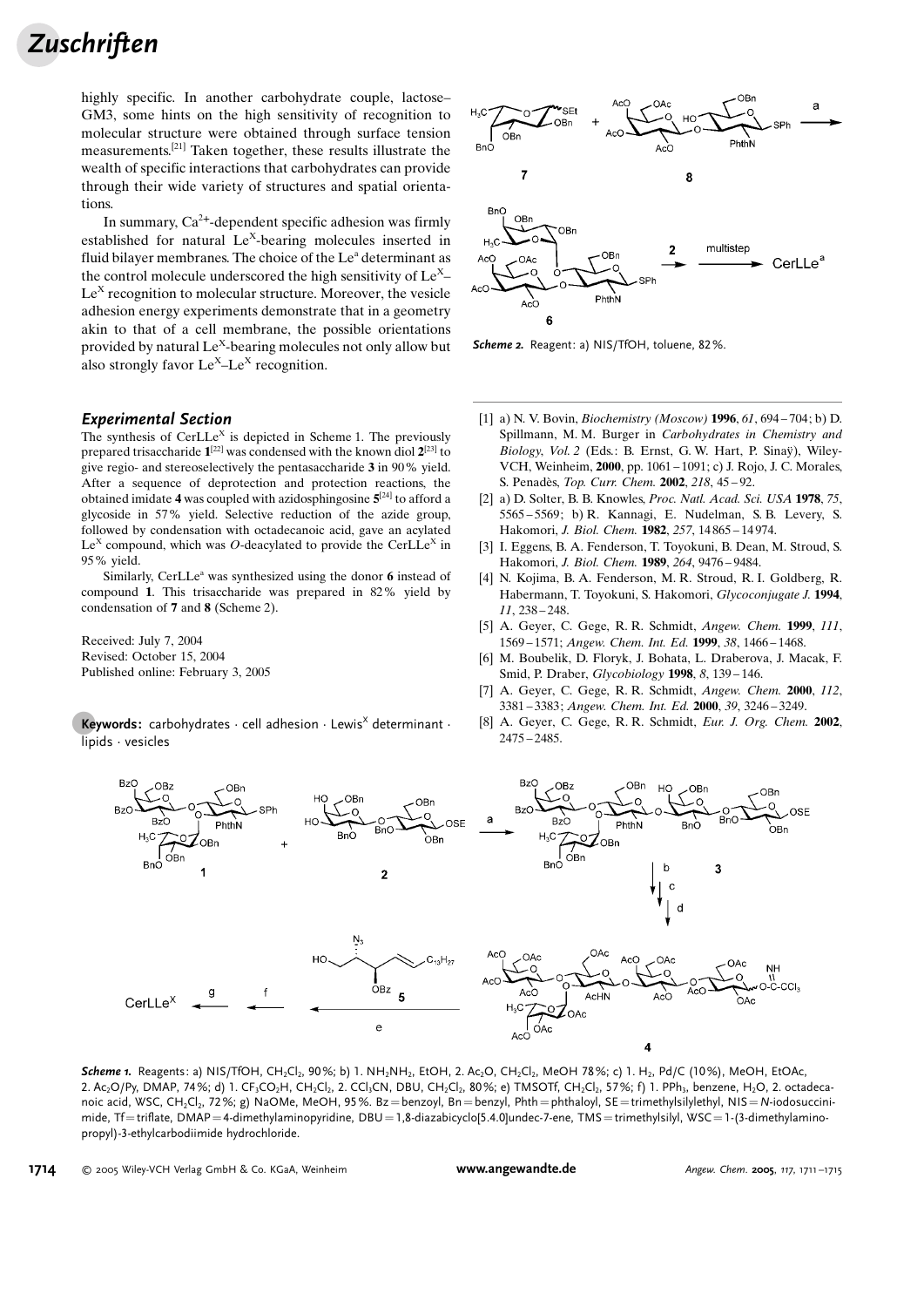## **Zuschriften**

highly specific. In another carbohydrate couple, lactose-GM3, some hints on the high sensitivity of recognition to molecular structure were obtained through surface tension measurements.[21] Taken together, these results illustrate the wealth of specific interactions that carbohydrates can provide through their wide variety of structures and spatial orientations.

In summary,  $Ca^{2+}$ -dependent specific adhesion was firmly established for natural  $Le<sup>X</sup>$ -bearing molecules inserted in fluid bilayer membranes. The choice of the Le<sup>a</sup> determinant as the control molecule underscored the high sensitivity of  $Le^{X}$ –  $Le<sup>X</sup>$  recognition to molecular structure. Moreover, the vesicle adhesion energy experiments demonstrate that in a geometry akin to that of a cell membrane, the possible orientations provided by natural Le<sup>X</sup>-bearing molecules not only allow but also strongly favor  $Le^{X}-Le^{X}$  recognition.

## Experimental Section

The synthesis of Cer $LLe^{X}$  is depicted in Scheme 1. The previously prepared trisaccharide  $1^{[22]}$  was condensed with the known diol  $2^{[23]}$  to give regio- and stereoselectively the pentasaccharide 3 in 90% yield. After a sequence of deprotection and protection reactions, the obtained imidate 4 was coupled with azidosphingosine  $5^{[24]}$  to afford a glycoside in 57% yield. Selective reduction of the azide group, followed by condensation with octadecanoic acid, gave an acylated Le<sup>X</sup> compound, which was O-deacylated to provide the CerLLe<sup>X</sup> in 95% yield.

Similarly, CerLLe<sup> $a$ </sup> was synthesized using the donor 6 instead of compound 1. This trisaccharide was prepared in 82% yield by condensation of 7 and 8 (Scheme 2).

Received: July 7, 2004 Revised: October 15, 2004 Published online: February 3, 2005

**Keywords:** carbohydrates  $\cdot$  cell adhesion  $\cdot$  Lewis<sup>X</sup> determinant  $\cdot$ lipids · vesicles



Scheme 2. Reagent: a) NIS/TfOH, toluene, 82%.

- [1] a) N. V. Bovin, Biochemistry (Moscow) 1996, 61, 694 704; b) D. Spillmann, M. M. Burger in Carbohydrates in Chemistry and Biology, Vol. 2 (Eds.: B. Ernst, G. W. Hart, P. Sinaÿ), Wiley-VCH, Weinheim, 2000, pp. 1061 – 1091; c) J. Rojo, J. C. Morales, S. Penadès, Top. Curr. Chem. 2002, 218, 45-92.
- [2] a) D. Solter, B. B. Knowles, Proc. Natl. Acad. Sci. USA 1978, 75, 5565 – 5569; b) R. Kannagi, E. Nudelman, S. B. Levery, S. Hakomori, J. Biol. Chem. 1982, 257, 14 865 – 14 974.
- [3] I. Eggens, B. A. Fenderson, T. Toyokuni, B. Dean, M. Stroud, S. Hakomori, J. Biol. Chem. 1989, 264, 9476 – 9484.
- [4] N. Kojima, B. A. Fenderson, M. R. Stroud, R. I. Goldberg, R. Habermann, T. Toyokuni, S. Hakomori, Glycoconjugate J. 1994, 11, 238 – 248.
- [5] A. Geyer, C. Gege, R. R. Schmidt, Angew. Chem. 1999, 111, 1569 – 1571; Angew. Chem. Int. Ed. 1999, 38, 1466 – 1468.
- [6] M. Boubelik, D. Floryk, J. Bohata, L. Draberova, J. Macak, F. Smid, P. Draber, Glycobiology 1998, 8, 139 – 146.
- [7] A. Geyer, C. Gege, R. R. Schmidt, Angew. Chem. 2000, 112, 3381 – 3383; Angew. Chem. Int. Ed. 2000, 39, 3246 – 3249.
- [8] A. Geyer, C. Gege, R. R. Schmidt, Eur. J. Org. Chem. 2002, 2475 – 2485.



Scheme 1. Reagents: a) NIS/TfOH, CH<sub>2</sub>Cl<sub>2</sub>, 90%; b) 1. NH<sub>2</sub>NH<sub>2</sub>, EtOH, 2. Ac<sub>2</sub>O, CH<sub>2</sub>Cl<sub>2</sub>, MeOH 78%; c) 1. H<sub>2</sub>, Pd/C (10%), MeOH, EtOAc, 2. Ac<sub>2</sub>O/Py, DMAP, 74%; d) 1. CF<sub>3</sub>CO<sub>2</sub>H, CH<sub>2</sub>Cl<sub>2</sub>, 2. CCl<sub>3</sub>CN, DBU, CH<sub>2</sub>Cl<sub>2</sub>, 80%; e) TMSOTf, CH<sub>2</sub>Cl<sub>2</sub>, 57%; f) 1. PPh<sub>3</sub>, benzene, H<sub>2</sub>O, 2. octadecanoic acid, WSC, CH<sub>2</sub>Cl<sub>2</sub>, 72%; g) NaOMe, MeOH, 95%. Bz = benzoyl, Bn = benzyl, Phth = phthaloyl, SE = trimethylsilylethyl, NIS = N-iodosuccinimide, Tf=triflate, DMAP=4-dimethylaminopyridine, DBU=1,8-diazabicyclo[5.4.0]undec-7-ene, TMS=trimethylsilyl, WSC=1-(3-dimethylaminopropyl)-3-ethylcarbodiimide hydrochloride.

1714 2005 Wiley-VCH Verlag GmbH & Co. KGaA, Weinheim [www.angewandte.de](http://www.angewandte.de) Angew. Chem. <sup>2005</sup>, <sup>117</sup>, 1711 –1715